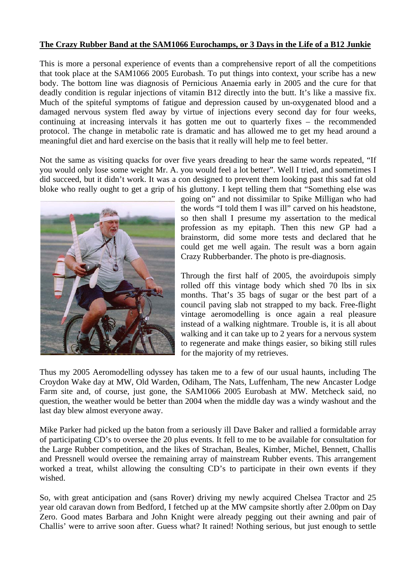## **The Crazy Rubber Band at the SAM1066 Eurochamps, or 3 Days in the Life of a B12 Junkie**

This is more a personal experience of events than a comprehensive report of all the competitions that took place at the SAM1066 2005 Eurobash. To put things into context, your scribe has a new body. The bottom line was diagnosis of Pernicious Anaemia early in 2005 and the cure for that deadly condition is regular injections of vitamin B12 directly into the butt. It's like a massive fix. Much of the spiteful symptoms of fatigue and depression caused by un-oxygenated blood and a damaged nervous system fled away by virtue of injections every second day for four weeks, continuing at increasing intervals it has gotten me out to quarterly fixes – the recommended protocol. The change in metabolic rate is dramatic and has allowed me to get my head around a meaningful diet and hard exercise on the basis that it really will help me to feel better.

Not the same as visiting quacks for over five years dreading to hear the same words repeated, "If you would only lose some weight Mr. A. you would feel a lot better". Well I tried, and sometimes I did succeed, but it didn't work. It was a con designed to prevent them looking past this sad fat old bloke who really ought to get a grip of his gluttony. I kept telling them that "Something else was



going on" and not dissimilar to Spike Milligan who had the words "I told them I was ill" carved on his headstone, so then shall I presume my assertation to the medical profession as my epitaph. Then this new GP had a brainstorm, did some more tests and declared that he could get me well again. The result was a born again Crazy Rubberbander. The photo is pre-diagnosis.

Through the first half of 2005, the avoirdupois simply rolled off this vintage body which shed 70 lbs in six months. That's 35 bags of sugar or the best part of a council paving slab not strapped to my back. Free-flight vintage aeromodelling is once again a real pleasure instead of a walking nightmare. Trouble is, it is all about walking and it can take up to 2 years for a nervous system to regenerate and make things easier, so biking still rules for the majority of my retrieves.

Thus my 2005 Aeromodelling odyssey has taken me to a few of our usual haunts, including The Croydon Wake day at MW, Old Warden, Odiham, The Nats, Luffenham, The new Ancaster Lodge Farm site and, of course, just gone, the SAM1066 2005 Eurobash at MW. Metcheck said, no question, the weather would be better than 2004 when the middle day was a windy washout and the last day blew almost everyone away.

Mike Parker had picked up the baton from a seriously ill Dave Baker and rallied a formidable array of participating CD's to oversee the 20 plus events. It fell to me to be available for consultation for the Large Rubber competition, and the likes of Strachan, Beales, Kimber, Michel, Bennett, Challis and Pressnell would oversee the remaining array of mainstream Rubber events. This arrangement worked a treat, whilst allowing the consulting CD's to participate in their own events if they wished.

So, with great anticipation and (sans Rover) driving my newly acquired Chelsea Tractor and 25 year old caravan down from Bedford, I fetched up at the MW campsite shortly after 2.00pm on Day Zero. Good mates Barbara and John Knight were already pegging out their awning and pair of Challis' were to arrive soon after. Guess what? It rained! Nothing serious, but just enough to settle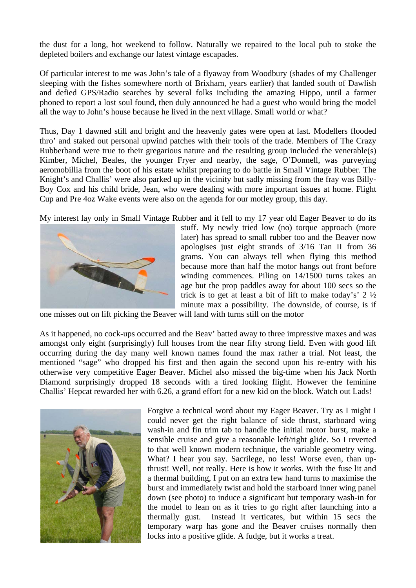the dust for a long, hot weekend to follow. Naturally we repaired to the local pub to stoke the depleted boilers and exchange our latest vintage escapades.

Of particular interest to me was John's tale of a flyaway from Woodbury (shades of my Challenger sleeping with the fishes somewhere north of Brixham, years earlier) that landed south of Dawlish and defied GPS/Radio searches by several folks including the amazing Hippo, until a farmer phoned to report a lost soul found, then duly announced he had a guest who would bring the model all the way to John's house because he lived in the next village. Small world or what?

Thus, Day 1 dawned still and bright and the heavenly gates were open at last. Modellers flooded thro' and staked out personal upwind patches with their tools of the trade. Members of The Crazy Rubberband were true to their gregarious nature and the resulting group included the venerable(s) Kimber, Michel, Beales, the younger Fryer and nearby, the sage, O'Donnell, was purveying aeromobillia from the boot of his estate whilst preparing to do battle in Small Vintage Rubber. The Knight's and Challis' were also parked up in the vicinity but sadly missing from the fray was Billy-Boy Cox and his child bride, Jean, who were dealing with more important issues at home. Flight Cup and Pre 4oz Wake events were also on the agenda for our motley group, this day.

My interest lay only in Small Vintage Rubber and it fell to my 17 year old Eager Beaver to do its



stuff. My newly tried low (no) torque approach (more later) has spread to small rubber too and the Beaver now apologises just eight strands of 3/16 Tan II from 36 grams. You can always tell when flying this method because more than half the motor hangs out front before winding commences. Piling on 14/1500 turns takes an age but the prop paddles away for about 100 secs so the trick is to get at least a bit of lift to make today's' 2 ½ minute max a possibility. The downside, of course, is if

one misses out on lift picking the Beaver will land with turns still on the motor

As it happened, no cock-ups occurred and the Beav' batted away to three impressive maxes and was amongst only eight (surprisingly) full houses from the near fifty strong field. Even with good lift occurring during the day many well known names found the max rather a trial. Not least, the mentioned "sage" who dropped his first and then again the second upon his re-entry with his otherwise very competitive Eager Beaver. Michel also missed the big-time when his Jack North Diamond surprisingly dropped 18 seconds with a tired looking flight. However the feminine Challis' Hepcat rewarded her with 6.26, a grand effort for a new kid on the block. Watch out Lads!



Forgive a technical word about my Eager Beaver. Try as I might I could never get the right balance of side thrust, starboard wing wash-in and fin trim tab to handle the initial motor burst, make a sensible cruise and give a reasonable left/right glide. So I reverted to that well known modern technique, the variable geometry wing. What? I hear you say. Sacrilege, no less! Worse even, than upthrust! Well, not really. Here is how it works. With the fuse lit and a thermal building, I put on an extra few hand turns to maximise the burst and immediately twist and hold the starboard inner wing panel down (see photo) to induce a significant but temporary wash-in for the model to lean on as it tries to go right after launching into a thermally gust. Instead it verticates, but within 15 secs the temporary warp has gone and the Beaver cruises normally then locks into a positive glide. A fudge, but it works a treat.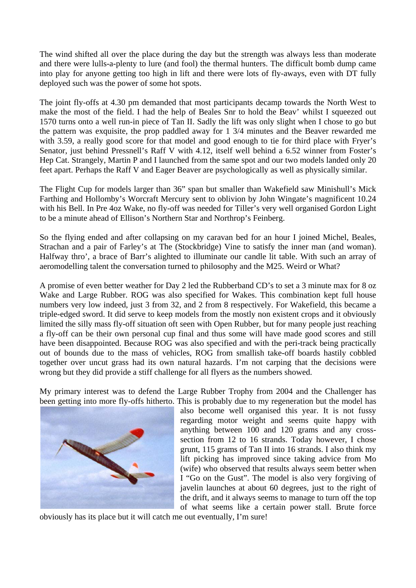The wind shifted all over the place during the day but the strength was always less than moderate and there were lulls-a-plenty to lure (and fool) the thermal hunters. The difficult bomb dump came into play for anyone getting too high in lift and there were lots of fly-aways, even with DT fully deployed such was the power of some hot spots.

The joint fly-offs at 4.30 pm demanded that most participants decamp towards the North West to make the most of the field. I had the help of Beales Snr to hold the Beav' whilst I squeezed out 1570 turns onto a well run-in piece of Tan II. Sadly the lift was only slight when I chose to go but the pattern was exquisite, the prop paddled away for 1 3/4 minutes and the Beaver rewarded me with 3.59, a really good score for that model and good enough to tie for third place with Fryer's Senator, just behind Pressnell's Raff V with 4.12, itself well behind a 6.52 winner from Foster's Hep Cat. Strangely, Martin P and I launched from the same spot and our two models landed only 20 feet apart. Perhaps the Raff V and Eager Beaver are psychologically as well as physically similar.

The Flight Cup for models larger than 36" span but smaller than Wakefield saw Minishull's Mick Farthing and Hollomby's Worcraft Mercury sent to oblivion by John Wingate's magnificent 10.24 with his Bell. In Pre 4oz Wake, no fly-off was needed for Tiller's very well organised Gordon Light to be a minute ahead of Ellison's Northern Star and Northrop's Feinberg.

So the flying ended and after collapsing on my caravan bed for an hour I joined Michel, Beales, Strachan and a pair of Farley's at The (Stockbridge) Vine to satisfy the inner man (and woman). Halfway thro', a brace of Barr's alighted to illuminate our candle lit table. With such an array of aeromodelling talent the conversation turned to philosophy and the M25. Weird or What?

A promise of even better weather for Day 2 led the Rubberband CD's to set a 3 minute max for 8 oz Wake and Large Rubber. ROG was also specified for Wakes. This combination kept full house numbers very low indeed, just 3 from 32, and 2 from 8 respectively. For Wakefield, this became a triple-edged sword. It did serve to keep models from the mostly non existent crops and it obviously limited the silly mass fly-off situation oft seen with Open Rubber, but for many people just reaching a fly-off can be their own personal cup final and thus some will have made good scores and still have been disappointed. Because ROG was also specified and with the peri-track being practically out of bounds due to the mass of vehicles, ROG from smallish take-off boards hastily cobbled together over uncut grass had its own natural hazards. I'm not carping that the decisions were wrong but they did provide a stiff challenge for all flyers as the numbers showed.

My primary interest was to defend the Large Rubber Trophy from 2004 and the Challenger has been getting into more fly-offs hitherto. This is probably due to my regeneration but the model has



also become well organised this year. It is not fussy regarding motor weight and seems quite happy with anything between 100 and 120 grams and any crosssection from 12 to 16 strands. Today however, I chose grunt, 115 grams of Tan II into 16 strands. I also think my lift picking has improved since taking advice from Mo (wife) who observed that results always seem better when I "Go on the Gust". The model is also very forgiving of javelin launches at about 60 degrees, just to the right of the drift, and it always seems to manage to turn off the top of what seems like a certain power stall. Brute force

obviously has its place but it will catch me out eventually, I'm sure!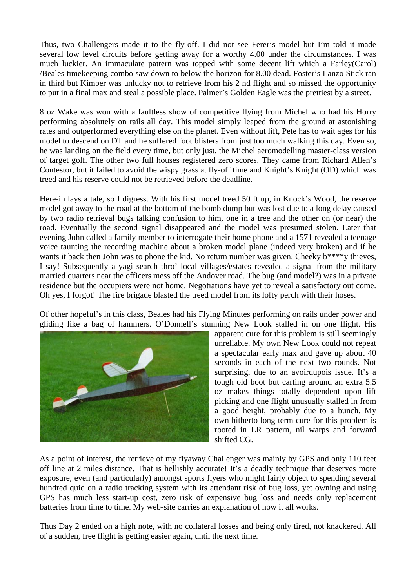Thus, two Challengers made it to the fly-off. I did not see Ferer's model but I'm told it made several low level circuits before getting away for a worthy 4.00 under the circumstances. I was much luckier. An immaculate pattern was topped with some decent lift which a Farley(Carol) /Beales timekeeping combo saw down to below the horizon for 8.00 dead. Foster's Lanzo Stick ran in third but Kimber was unlucky not to retrieve from his 2 nd flight and so missed the opportunity to put in a final max and steal a possible place. Palmer's Golden Eagle was the prettiest by a street.

8 oz Wake was won with a faultless show of competitive flying from Michel who had his Horry performing absolutely on rails all day. This model simply leaped from the ground at astonishing rates and outperformed everything else on the planet. Even without lift, Pete has to wait ages for his model to descend on DT and he suffered foot blisters from just too much walking this day. Even so, he was landing on the field every time, but only just, the Michel aeromodelling master-class version of target golf. The other two full houses registered zero scores. They came from Richard Allen's Contestor, but it failed to avoid the wispy grass at fly-off time and Knight's Knight (OD) which was treed and his reserve could not be retrieved before the deadline.

Here-in lays a tale, so I digress. With his first model treed 50 ft up, in Knock's Wood, the reserve model got away to the road at the bottom of the bomb dump but was lost due to a long delay caused by two radio retrieval bugs talking confusion to him, one in a tree and the other on (or near) the road. Eventually the second signal disappeared and the model was presumed stolen. Later that evening John called a family member to interrogate their home phone and a 1571 revealed a teenage voice taunting the recording machine about a broken model plane (indeed very broken) and if he wants it back then John was to phone the kid. No return number was given. Cheeky b\*\*\*\*y thieves, I say! Subsequently a yagi search thro' local villages/estates revealed a signal from the military married quarters near the officers mess off the Andover road. The bug (and model?) was in a private residence but the occupiers were not home. Negotiations have yet to reveal a satisfactory out come. Oh yes, I forgot! The fire brigade blasted the treed model from its lofty perch with their hoses.

Of other hopeful's in this class, Beales had his Flying Minutes performing on rails under power and gliding like a bag of hammers. O'Donnell's stunning New Look stalled in on one flight. His



apparent cure for this problem is still seemingly unreliable. My own New Look could not repeat a spectacular early max and gave up about 40 seconds in each of the next two rounds. Not surprising, due to an avoirdupois issue. It's a tough old boot but carting around an extra 5.5 oz makes things totally dependent upon lift picking and one flight unusually stalled in from a good height, probably due to a bunch. My own hitherto long term cure for this problem is rooted in LR pattern, nil warps and forward shifted CG.

As a point of interest, the retrieve of my flyaway Challenger was mainly by GPS and only 110 feet off line at 2 miles distance. That is hellishly accurate! It's a deadly technique that deserves more exposure, even (and particularly) amongst sports flyers who might fairly object to spending several hundred quid on a radio tracking system with its attendant risk of bug loss, yet owning and using GPS has much less start-up cost, zero risk of expensive bug loss and needs only replacement batteries from time to time. My web-site carries an explanation of how it all works.

Thus Day 2 ended on a high note, with no collateral losses and being only tired, not knackered. All of a sudden, free flight is getting easier again, until the next time.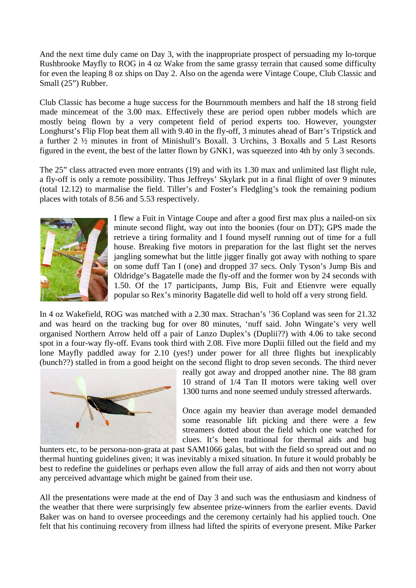And the next time duly came on Day 3, with the inappropriate prospect of persuading my lo-torque Rushbrooke Mayfly to ROG in 4 oz Wake from the same grassy terrain that caused some difficulty for even the leaping 8 oz ships on Day 2. Also on the agenda were Vintage Coupe, Club Classic and Small (25") Rubber.

Club Classic has become a huge success for the Bournmouth members and half the 18 strong field made mincemeat of the 3.00 max. Effectively these are period open rubber models which are mostly being flown by a very competent field of period experts too. However, youngster Longhurst's Flip Flop beat them all with 9.40 in the fly-off, 3 minutes ahead of Barr's Tripstick and a further 2 ½ minutes in front of Minishull's Boxall. 3 Urchins, 3 Boxalls and 5 Last Resorts figured in the event, the best of the latter flown by GNK1, was squeezed into 4th by only 3 seconds.

The 25" class attracted even more entrants (19) and with its 1.30 max and unlimited last flight rule, a fly-off is only a remote possibility. Thus Jeffreys' Skylark put in a final flight of over 9 minutes (total 12.12) to marmalise the field. Tiller's and Foster's Fledgling's took the remaining podium places with totals of 8.56 and 5.53 respectively.



I flew a Fuit in Vintage Coupe and after a good first max plus a nailed-on six minute second flight, way out into the boonies (four on DT); GPS made the retrieve a tiring formality and I found myself running out of time for a full house. Breaking five motors in preparation for the last flight set the nerves jangling somewhat but the little jigger finally got away with nothing to spare on some duff Tan I (one) and dropped 37 secs. Only Tyson's Jump Bis and Oldridge's Bagatelle made the fly-off and the former won by 24 seconds with 1.50. Of the 17 participants, Jump Bis, Fuit and Etienvre were equally popular so Rex's minority Bagatelle did well to hold off a very strong field.

In 4 oz Wakefield, ROG was matched with a 2.30 max. Strachan's '36 Copland was seen for 21.32 and was heard on the tracking bug for over 80 minutes, 'nuff said. John Wingate's very well organised Northern Arrow held off a pair of Lanzo Duplex's (Duplii??) with 4.06 to take second spot in a four-way fly-off. Evans took third with 2.08. Five more Duplii filled out the field and my lone Mayfly paddled away for 2.10 (yes!) under power for all three flights but inexplicably (bunch??) stalled in from a good height on the second flight to drop seven seconds. The third never



really got away and dropped another nine. The 88 gram 10 strand of 1/4 Tan II motors were taking well over 1300 turns and none seemed unduly stressed afterwards.

Once again my heavier than average model demanded some reasonable lift picking and there were a few streamers dotted about the field which one watched for clues. It's been traditional for thermal aids and bug

hunters etc, to be persona-non-grata at past SAM1066 galas, but with the field so spread out and no thermal hunting guidelines given; it was inevitably a mixed situation. In future it would probably be best to redefine the guidelines or perhaps even allow the full array of aids and then not worry about any perceived advantage which might be gained from their use.

All the presentations were made at the end of Day 3 and such was the enthusiasm and kindness of the weather that there were surprisingly few absentee prize-winners from the earlier events. David Baker was on hand to oversee proceedings and the ceremony certainly had his applied touch. One felt that his continuing recovery from illness had lifted the spirits of everyone present. Mike Parker